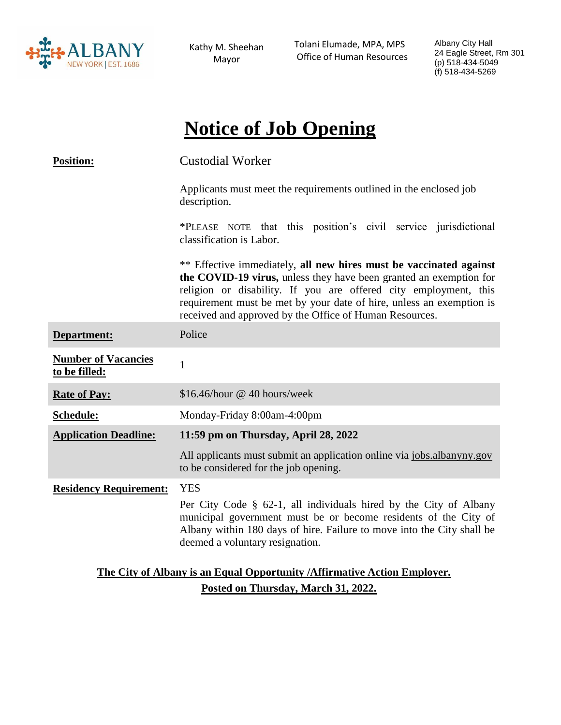

Kathy M. Sheehan Mayor

 Tolani Elumade, MPA, MPS Office of Human Resources Albany City Hall 24 Eagle Street, Rm 301 (p) 518-434-5049 (f) 518-434-5269

# **Notice of Job Opening**

| <b>Position:</b>                                                          | <b>Custodial Worker</b>                                                                                                                                                                                                                                                                                                                         |
|---------------------------------------------------------------------------|-------------------------------------------------------------------------------------------------------------------------------------------------------------------------------------------------------------------------------------------------------------------------------------------------------------------------------------------------|
|                                                                           | Applicants must meet the requirements outlined in the enclosed job<br>description.                                                                                                                                                                                                                                                              |
|                                                                           | *PLEASE NOTE that this position's civil service jurisdictional<br>classification is Labor.                                                                                                                                                                                                                                                      |
|                                                                           | ** Effective immediately, all new hires must be vaccinated against<br>the COVID-19 virus, unless they have been granted an exemption for<br>religion or disability. If you are offered city employment, this<br>requirement must be met by your date of hire, unless an exemption is<br>received and approved by the Office of Human Resources. |
| Department:                                                               | Police                                                                                                                                                                                                                                                                                                                                          |
| <b>Number of Vacancies</b><br>to be filled:                               | 1                                                                                                                                                                                                                                                                                                                                               |
| <b>Rate of Pay:</b>                                                       | \$16.46/hour @ 40 hours/week                                                                                                                                                                                                                                                                                                                    |
| Schedule:                                                                 | Monday-Friday 8:00am-4:00pm                                                                                                                                                                                                                                                                                                                     |
| <b>Application Deadline:</b>                                              | 11:59 pm on Thursday, April 28, 2022                                                                                                                                                                                                                                                                                                            |
|                                                                           | All applicants must submit an application online via jobs.albanyny.gov<br>to be considered for the job opening.                                                                                                                                                                                                                                 |
| <b>Residency Requirement:</b>                                             | <b>YES</b><br>Per City Code § 62-1, all individuals hired by the City of Albany<br>municipal government must be or become residents of the City of<br>Albany within 180 days of hire. Failure to move into the City shall be<br>deemed a voluntary resignation.                                                                                 |
| The City of Albany is an Equal Opportunity / Affirmative Action Employer. |                                                                                                                                                                                                                                                                                                                                                 |

## **Posted on Thursday, March 31, 2022.**